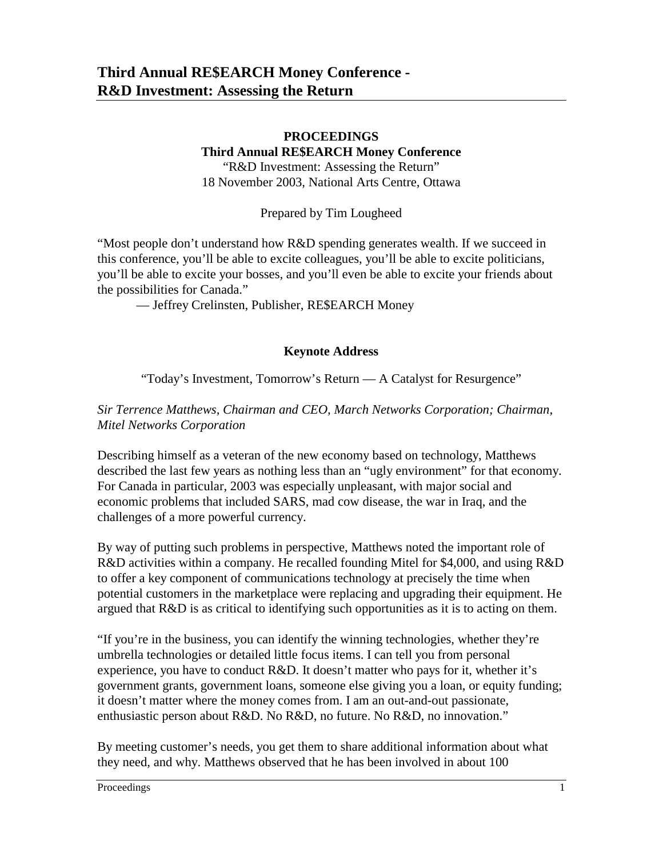### **PROCEEDINGS Third Annual RE\$EARCH Money Conference**

"R&D Investment: Assessing the Return" 18 November 2003, National Arts Centre, Ottawa

Prepared by Tim Lougheed

"Most people don't understand how R&D spending generates wealth. If we succeed in this conference, you'll be able to excite colleagues, you'll be able to excite politicians, you'll be able to excite your bosses, and you'll even be able to excite your friends about the possibilities for Canada."

— Jeffrey Crelinsten, Publisher, RE\$EARCH Money

#### **Keynote Address**

"Today's Investment, Tomorrow's Return — A Catalyst for Resurgence"

### *Sir Terrence Matthews, Chairman and CEO, March Networks Corporation; Chairman, Mitel Networks Corporation*

Describing himself as a veteran of the new economy based on technology, Matthews described the last few years as nothing less than an "ugly environment" for that economy. For Canada in particular, 2003 was especially unpleasant, with major social and economic problems that included SARS, mad cow disease, the war in Iraq, and the challenges of a more powerful currency.

By way of putting such problems in perspective, Matthews noted the important role of R&D activities within a company. He recalled founding Mitel for \$4,000, and using R&D to offer a key component of communications technology at precisely the time when potential customers in the marketplace were replacing and upgrading their equipment. He argued that R&D is as critical to identifying such opportunities as it is to acting on them.

"If you're in the business, you can identify the winning technologies, whether they're umbrella technologies or detailed little focus items. I can tell you from personal experience, you have to conduct R&D. It doesn't matter who pays for it, whether it's government grants, government loans, someone else giving you a loan, or equity funding; it doesn't matter where the money comes from. I am an out-and-out passionate, enthusiastic person about R&D. No R&D, no future. No R&D, no innovation."

By meeting customer's needs, you get them to share additional information about what they need, and why. Matthews observed that he has been involved in about 100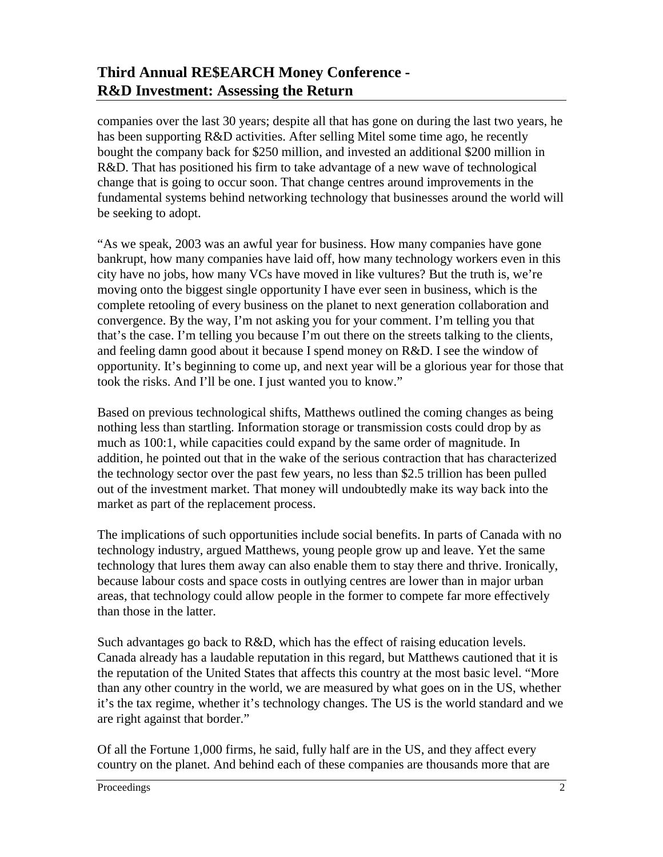companies over the last 30 years; despite all that has gone on during the last two years, he has been supporting R&D activities. After selling Mitel some time ago, he recently bought the company back for \$250 million, and invested an additional \$200 million in R&D. That has positioned his firm to take advantage of a new wave of technological change that is going to occur soon. That change centres around improvements in the fundamental systems behind networking technology that businesses around the world will be seeking to adopt.

"As we speak, 2003 was an awful year for business. How many companies have gone bankrupt, how many companies have laid off, how many technology workers even in this city have no jobs, how many VCs have moved in like vultures? But the truth is, we're moving onto the biggest single opportunity I have ever seen in business, which is the complete retooling of every business on the planet to next generation collaboration and convergence. By the way, I'm not asking you for your comment. I'm telling you that that's the case. I'm telling you because I'm out there on the streets talking to the clients, and feeling damn good about it because I spend money on R&D. I see the window of opportunity. It's beginning to come up, and next year will be a glorious year for those that took the risks. And I'll be one. I just wanted you to know."

Based on previous technological shifts, Matthews outlined the coming changes as being nothing less than startling. Information storage or transmission costs could drop by as much as 100:1, while capacities could expand by the same order of magnitude. In addition, he pointed out that in the wake of the serious contraction that has characterized the technology sector over the past few years, no less than \$2.5 trillion has been pulled out of the investment market. That money will undoubtedly make its way back into the market as part of the replacement process.

The implications of such opportunities include social benefits. In parts of Canada with no technology industry, argued Matthews, young people grow up and leave. Yet the same technology that lures them away can also enable them to stay there and thrive. Ironically, because labour costs and space costs in outlying centres are lower than in major urban areas, that technology could allow people in the former to compete far more effectively than those in the latter.

Such advantages go back to R&D, which has the effect of raising education levels. Canada already has a laudable reputation in this regard, but Matthews cautioned that it is the reputation of the United States that affects this country at the most basic level. "More than any other country in the world, we are measured by what goes on in the US, whether it's the tax regime, whether it's technology changes. The US is the world standard and we are right against that border."

Of all the Fortune 1,000 firms, he said, fully half are in the US, and they affect every country on the planet. And behind each of these companies are thousands more that are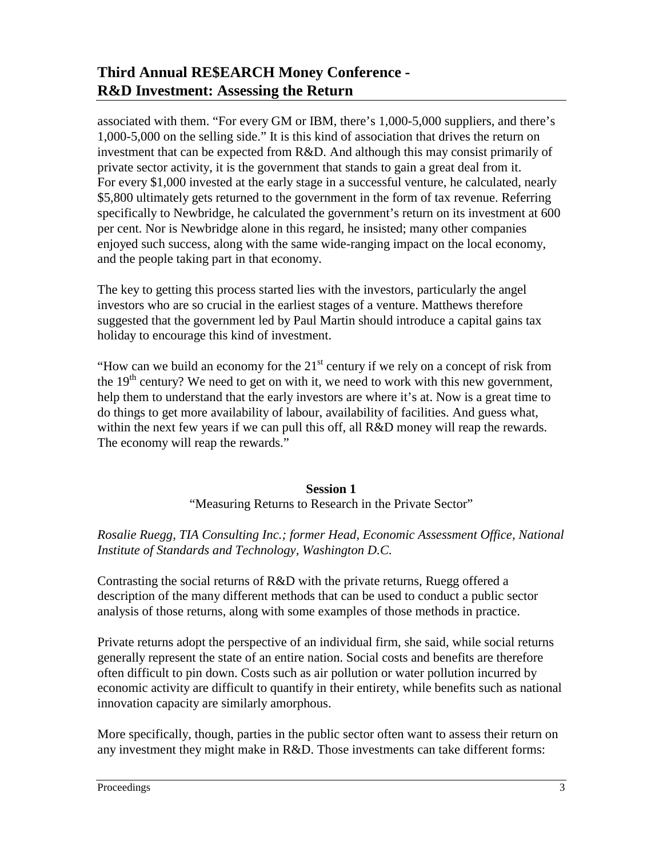associated with them. "For every GM or IBM, there's 1,000-5,000 suppliers, and there's 1,000-5,000 on the selling side." It is this kind of association that drives the return on investment that can be expected from R&D. And although this may consist primarily of private sector activity, it is the government that stands to gain a great deal from it. For every \$1,000 invested at the early stage in a successful venture, he calculated, nearly \$5,800 ultimately gets returned to the government in the form of tax revenue. Referring specifically to Newbridge, he calculated the government's return on its investment at 600 per cent. Nor is Newbridge alone in this regard, he insisted; many other companies enjoyed such success, along with the same wide-ranging impact on the local economy, and the people taking part in that economy.

The key to getting this process started lies with the investors, particularly the angel investors who are so crucial in the earliest stages of a venture. Matthews therefore suggested that the government led by Paul Martin should introduce a capital gains tax holiday to encourage this kind of investment.

"How can we build an economy for the  $21<sup>st</sup>$  century if we rely on a concept of risk from the  $19<sup>th</sup>$  century? We need to get on with it, we need to work with this new government, help them to understand that the early investors are where it's at. Now is a great time to do things to get more availability of labour, availability of facilities. And guess what, within the next few years if we can pull this off, all R&D money will reap the rewards. The economy will reap the rewards."

#### **Session 1**

"Measuring Returns to Research in the Private Sector"

### *Rosalie Ruegg, TIA Consulting Inc.; former Head, Economic Assessment Office, National Institute of Standards and Technology, Washington D.C.*

Contrasting the social returns of R&D with the private returns, Ruegg offered a description of the many different methods that can be used to conduct a public sector analysis of those returns, along with some examples of those methods in practice.

Private returns adopt the perspective of an individual firm, she said, while social returns generally represent the state of an entire nation. Social costs and benefits are therefore often difficult to pin down. Costs such as air pollution or water pollution incurred by economic activity are difficult to quantify in their entirety, while benefits such as national innovation capacity are similarly amorphous.

More specifically, though, parties in the public sector often want to assess their return on any investment they might make in R&D. Those investments can take different forms: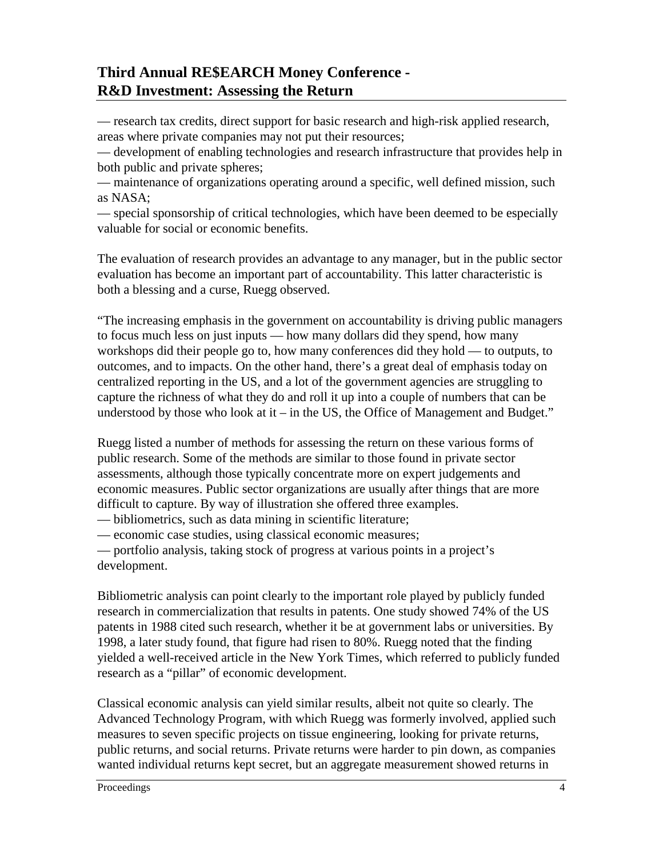— research tax credits, direct support for basic research and high-risk applied research, areas where private companies may not put their resources;

— development of enabling technologies and research infrastructure that provides help in both public and private spheres;

— maintenance of organizations operating around a specific, well defined mission, such as NASA;

— special sponsorship of critical technologies, which have been deemed to be especially valuable for social or economic benefits.

The evaluation of research provides an advantage to any manager, but in the public sector evaluation has become an important part of accountability. This latter characteristic is both a blessing and a curse, Ruegg observed.

"The increasing emphasis in the government on accountability is driving public managers to focus much less on just inputs — how many dollars did they spend, how many workshops did their people go to, how many conferences did they hold — to outputs, to outcomes, and to impacts. On the other hand, there's a great deal of emphasis today on centralized reporting in the US, and a lot of the government agencies are struggling to capture the richness of what they do and roll it up into a couple of numbers that can be understood by those who look at it – in the US, the Office of Management and Budget."

Ruegg listed a number of methods for assessing the return on these various forms of public research. Some of the methods are similar to those found in private sector assessments, although those typically concentrate more on expert judgements and economic measures. Public sector organizations are usually after things that are more difficult to capture. By way of illustration she offered three examples.

— bibliometrics, such as data mining in scientific literature;

— economic case studies, using classical economic measures;

— portfolio analysis, taking stock of progress at various points in a project's development.

Bibliometric analysis can point clearly to the important role played by publicly funded research in commercialization that results in patents. One study showed 74% of the US patents in 1988 cited such research, whether it be at government labs or universities. By 1998, a later study found, that figure had risen to 80%. Ruegg noted that the finding yielded a well-received article in the New York Times, which referred to publicly funded research as a "pillar" of economic development.

Classical economic analysis can yield similar results, albeit not quite so clearly. The Advanced Technology Program, with which Ruegg was formerly involved, applied such measures to seven specific projects on tissue engineering, looking for private returns, public returns, and social returns. Private returns were harder to pin down, as companies wanted individual returns kept secret, but an aggregate measurement showed returns in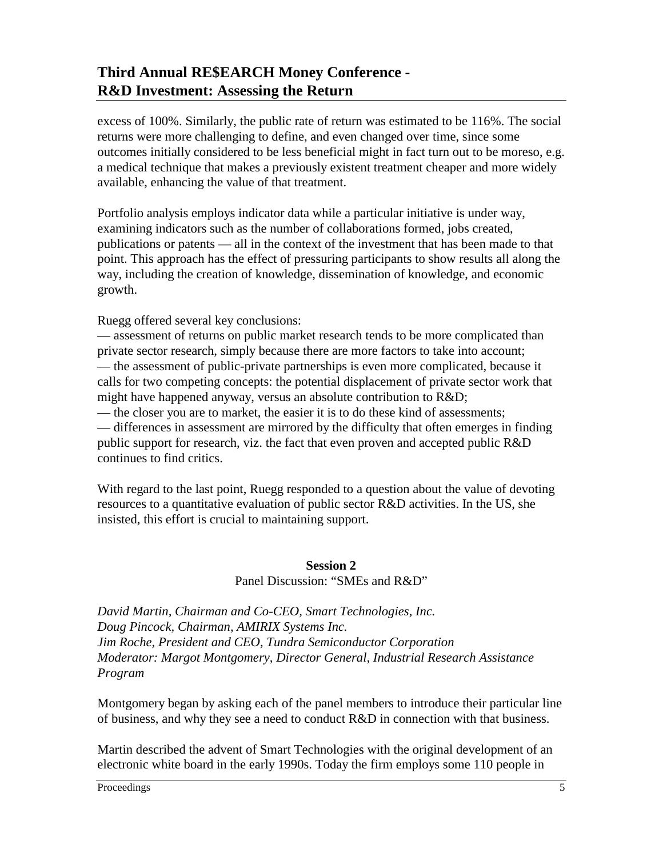excess of 100%. Similarly, the public rate of return was estimated to be 116%. The social returns were more challenging to define, and even changed over time, since some outcomes initially considered to be less beneficial might in fact turn out to be moreso, e.g. a medical technique that makes a previously existent treatment cheaper and more widely available, enhancing the value of that treatment.

Portfolio analysis employs indicator data while a particular initiative is under way, examining indicators such as the number of collaborations formed, jobs created, publications or patents — all in the context of the investment that has been made to that point. This approach has the effect of pressuring participants to show results all along the way, including the creation of knowledge, dissemination of knowledge, and economic growth.

Ruegg offered several key conclusions:

— assessment of returns on public market research tends to be more complicated than private sector research, simply because there are more factors to take into account; — the assessment of public-private partnerships is even more complicated, because it calls for two competing concepts: the potential displacement of private sector work that might have happened anyway, versus an absolute contribution to R&D;

— the closer you are to market, the easier it is to do these kind of assessments; — differences in assessment are mirrored by the difficulty that often emerges in finding public support for research, viz. the fact that even proven and accepted public R&D continues to find critics.

With regard to the last point, Ruegg responded to a question about the value of devoting resources to a quantitative evaluation of public sector R&D activities. In the US, she insisted, this effort is crucial to maintaining support.

#### **Session 2**  Panel Discussion: "SMEs and R&D"

*David Martin, Chairman and Co-CEO, Smart Technologies, Inc. Doug Pincock, Chairman, AMIRIX Systems Inc. Jim Roche, President and CEO, Tundra Semiconductor Corporation Moderator: Margot Montgomery, Director General, Industrial Research Assistance Program*

Montgomery began by asking each of the panel members to introduce their particular line of business, and why they see a need to conduct R&D in connection with that business.

Martin described the advent of Smart Technologies with the original development of an electronic white board in the early 1990s. Today the firm employs some 110 people in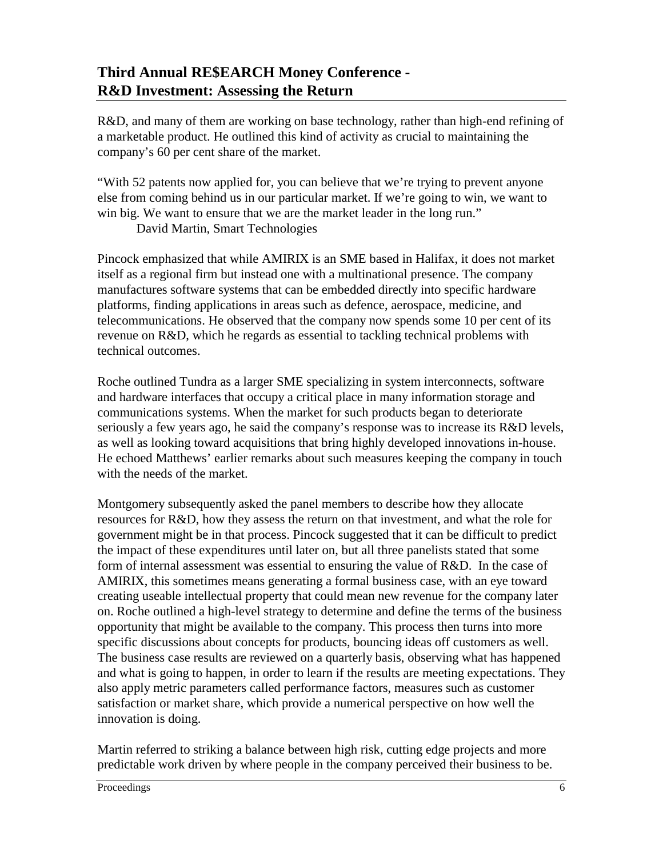R&D, and many of them are working on base technology, rather than high-end refining of a marketable product. He outlined this kind of activity as crucial to maintaining the company's 60 per cent share of the market.

"With 52 patents now applied for, you can believe that we're trying to prevent anyone else from coming behind us in our particular market. If we're going to win, we want to win big. We want to ensure that we are the market leader in the long run."

David Martin, Smart Technologies

Pincock emphasized that while AMIRIX is an SME based in Halifax, it does not market itself as a regional firm but instead one with a multinational presence. The company manufactures software systems that can be embedded directly into specific hardware platforms, finding applications in areas such as defence, aerospace, medicine, and telecommunications. He observed that the company now spends some 10 per cent of its revenue on R&D, which he regards as essential to tackling technical problems with technical outcomes.

Roche outlined Tundra as a larger SME specializing in system interconnects, software and hardware interfaces that occupy a critical place in many information storage and communications systems. When the market for such products began to deteriorate seriously a few years ago, he said the company's response was to increase its R&D levels, as well as looking toward acquisitions that bring highly developed innovations in-house. He echoed Matthews' earlier remarks about such measures keeping the company in touch with the needs of the market.

Montgomery subsequently asked the panel members to describe how they allocate resources for R&D, how they assess the return on that investment, and what the role for government might be in that process. Pincock suggested that it can be difficult to predict the impact of these expenditures until later on, but all three panelists stated that some form of internal assessment was essential to ensuring the value of R&D. In the case of AMIRIX, this sometimes means generating a formal business case, with an eye toward creating useable intellectual property that could mean new revenue for the company later on. Roche outlined a high-level strategy to determine and define the terms of the business opportunity that might be available to the company. This process then turns into more specific discussions about concepts for products, bouncing ideas off customers as well. The business case results are reviewed on a quarterly basis, observing what has happened and what is going to happen, in order to learn if the results are meeting expectations. They also apply metric parameters called performance factors, measures such as customer satisfaction or market share, which provide a numerical perspective on how well the innovation is doing.

Martin referred to striking a balance between high risk, cutting edge projects and more predictable work driven by where people in the company perceived their business to be.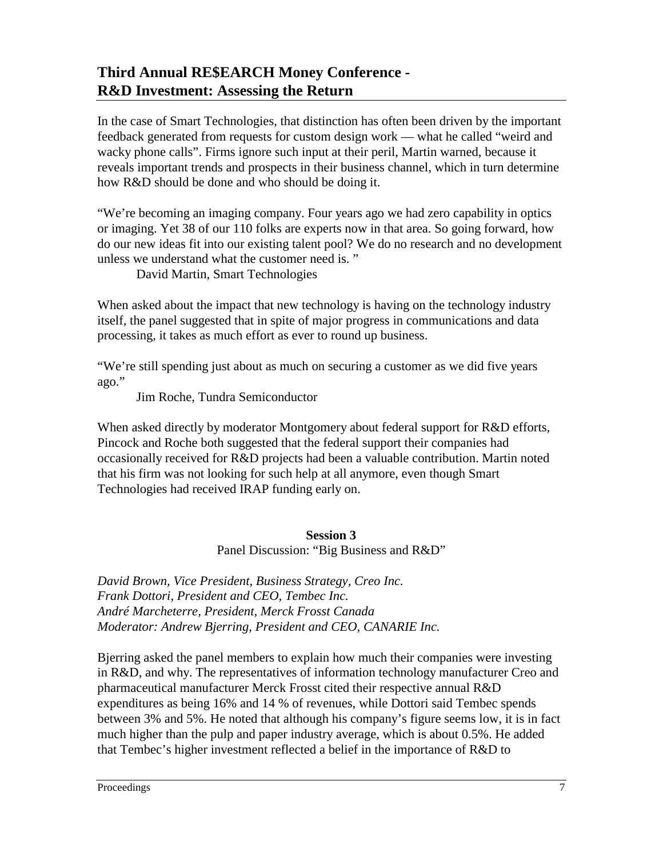In the case of Smart Technologies, that distinction has often been driven by the important feedback generated from requests for custom design work — what he called "weird and wacky phone calls". Firms ignore such input at their peril, Martin warned, because it reveals important trends and prospects in their business channel, which in turn determine how R&D should be done and who should be doing it.

"We're becoming an imaging company. Four years ago we had zero capability in optics or imaging. Yet 38 of our 110 folks are experts now in that area. So going forward, how do our new ideas fit into our existing talent pool? We do no research and no development unless we understand what the customer need is. "

David Martin, Smart Technologies

When asked about the impact that new technology is having on the technology industry itself, the panel suggested that in spite of major progress in communications and data processing, it takes as much effort as ever to round up business.

"We're still spending just about as much on securing a customer as we did five years ago."

Jim Roche, Tundra Semiconductor

When asked directly by moderator Montgomery about federal support for R&D efforts, Pincock and Roche both suggested that the federal support their companies had occasionally received for R&D projects had been a valuable contribution. Martin noted that his firm was not looking for such help at all anymore, even though Smart Technologies had received IRAP funding early on.

#### **Session 3**

Panel Discussion: "Big Business and R&D"

*David Brown, Vice President, Business Strategy, Creo Inc. Frank Dottori, President and CEO, Tembec Inc. André Marcheterre, President, Merck Frosst Canada Moderator: Andrew Bjerring, President and CEO, CANARIE Inc.*

Bjerring asked the panel members to explain how much their companies were investing in R&D, and why. The representatives of information technology manufacturer Creo and pharmaceutical manufacturer Merck Frosst cited their respective annual R&D expenditures as being 16% and 14 % of revenues, while Dottori said Tembec spends between 3% and 5%. He noted that although his company's figure seems low, it is in fact much higher than the pulp and paper industry average, which is about 0.5%. He added that Tembec's higher investment reflected a belief in the importance of R&D to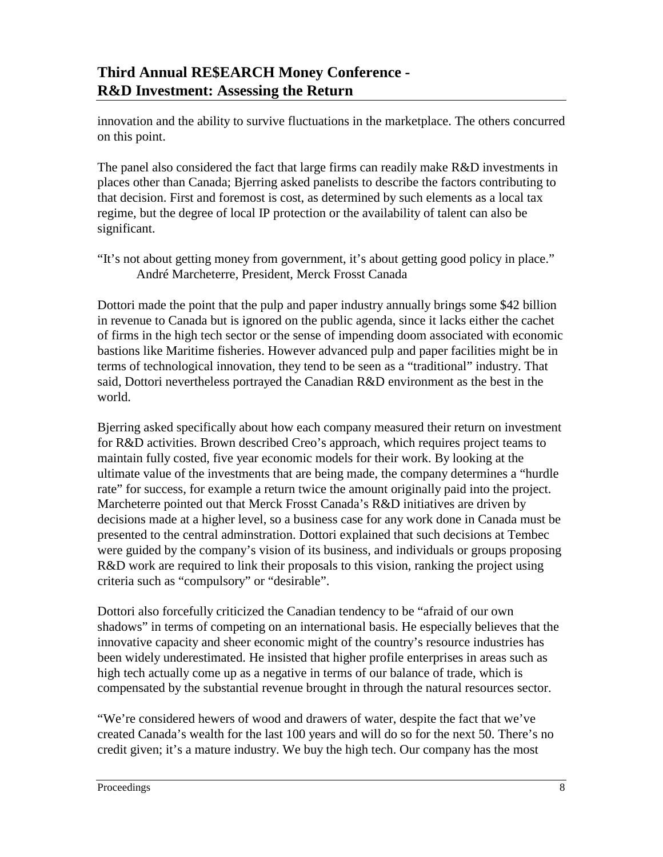innovation and the ability to survive fluctuations in the marketplace. The others concurred on this point.

The panel also considered the fact that large firms can readily make R&D investments in places other than Canada; Bjerring asked panelists to describe the factors contributing to that decision. First and foremost is cost, as determined by such elements as a local tax regime, but the degree of local IP protection or the availability of talent can also be significant.

"It's not about getting money from government, it's about getting good policy in place." André Marcheterre, President, Merck Frosst Canada

Dottori made the point that the pulp and paper industry annually brings some \$42 billion in revenue to Canada but is ignored on the public agenda, since it lacks either the cachet of firms in the high tech sector or the sense of impending doom associated with economic bastions like Maritime fisheries. However advanced pulp and paper facilities might be in terms of technological innovation, they tend to be seen as a "traditional" industry. That said, Dottori nevertheless portrayed the Canadian R&D environment as the best in the world.

Bjerring asked specifically about how each company measured their return on investment for R&D activities. Brown described Creo's approach, which requires project teams to maintain fully costed, five year economic models for their work. By looking at the ultimate value of the investments that are being made, the company determines a "hurdle rate" for success, for example a return twice the amount originally paid into the project. Marcheterre pointed out that Merck Frosst Canada's R&D initiatives are driven by decisions made at a higher level, so a business case for any work done in Canada must be presented to the central adminstration. Dottori explained that such decisions at Tembec were guided by the company's vision of its business, and individuals or groups proposing R&D work are required to link their proposals to this vision, ranking the project using criteria such as "compulsory" or "desirable".

Dottori also forcefully criticized the Canadian tendency to be "afraid of our own shadows" in terms of competing on an international basis. He especially believes that the innovative capacity and sheer economic might of the country's resource industries has been widely underestimated. He insisted that higher profile enterprises in areas such as high tech actually come up as a negative in terms of our balance of trade, which is compensated by the substantial revenue brought in through the natural resources sector.

"We're considered hewers of wood and drawers of water, despite the fact that we've created Canada's wealth for the last 100 years and will do so for the next 50. There's no credit given; it's a mature industry. We buy the high tech. Our company has the most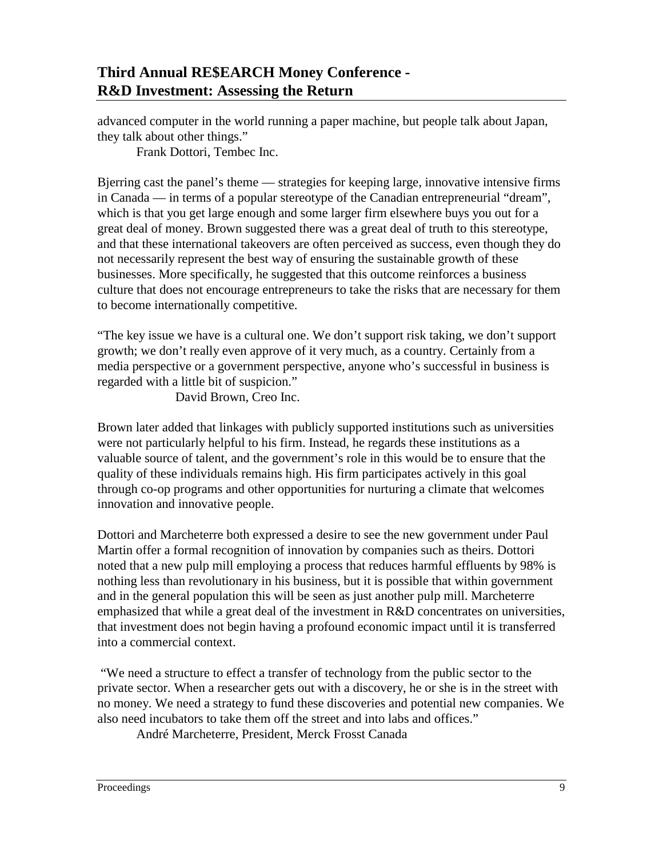advanced computer in the world running a paper machine, but people talk about Japan, they talk about other things."

Frank Dottori, Tembec Inc.

Bjerring cast the panel's theme — strategies for keeping large, innovative intensive firms in Canada — in terms of a popular stereotype of the Canadian entrepreneurial "dream", which is that you get large enough and some larger firm elsewhere buys you out for a great deal of money. Brown suggested there was a great deal of truth to this stereotype, and that these international takeovers are often perceived as success, even though they do not necessarily represent the best way of ensuring the sustainable growth of these businesses. More specifically, he suggested that this outcome reinforces a business culture that does not encourage entrepreneurs to take the risks that are necessary for them to become internationally competitive.

"The key issue we have is a cultural one. We don't support risk taking, we don't support growth; we don't really even approve of it very much, as a country. Certainly from a media perspective or a government perspective, anyone who's successful in business is regarded with a little bit of suspicion."

David Brown, Creo Inc.

Brown later added that linkages with publicly supported institutions such as universities were not particularly helpful to his firm. Instead, he regards these institutions as a valuable source of talent, and the government's role in this would be to ensure that the quality of these individuals remains high. His firm participates actively in this goal through co-op programs and other opportunities for nurturing a climate that welcomes innovation and innovative people.

Dottori and Marcheterre both expressed a desire to see the new government under Paul Martin offer a formal recognition of innovation by companies such as theirs. Dottori noted that a new pulp mill employing a process that reduces harmful effluents by 98% is nothing less than revolutionary in his business, but it is possible that within government and in the general population this will be seen as just another pulp mill. Marcheterre emphasized that while a great deal of the investment in R&D concentrates on universities, that investment does not begin having a profound economic impact until it is transferred into a commercial context.

 "We need a structure to effect a transfer of technology from the public sector to the private sector. When a researcher gets out with a discovery, he or she is in the street with no money. We need a strategy to fund these discoveries and potential new companies. We also need incubators to take them off the street and into labs and offices."

André Marcheterre, President, Merck Frosst Canada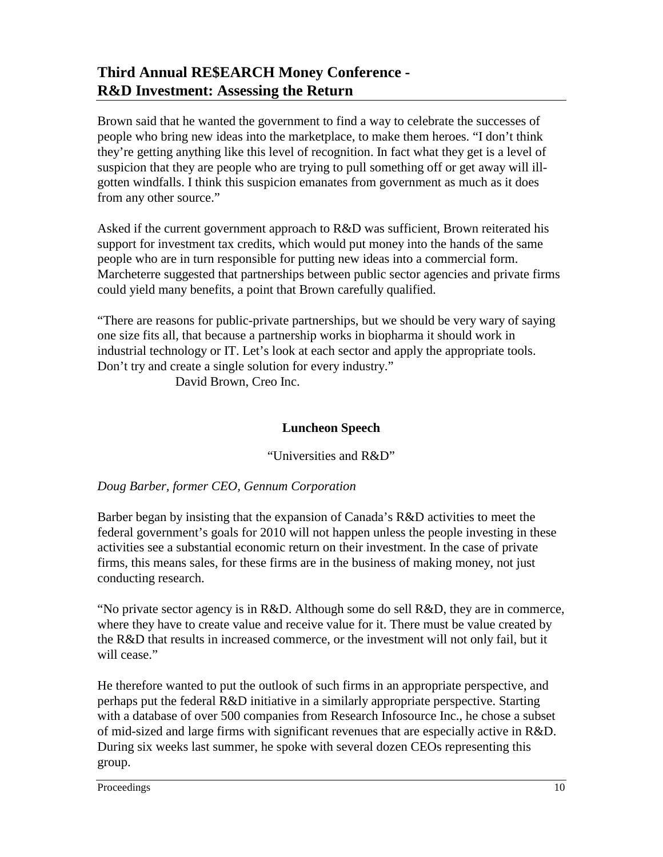Brown said that he wanted the government to find a way to celebrate the successes of people who bring new ideas into the marketplace, to make them heroes. "I don't think they're getting anything like this level of recognition. In fact what they get is a level of suspicion that they are people who are trying to pull something off or get away will illgotten windfalls. I think this suspicion emanates from government as much as it does from any other source."

Asked if the current government approach to R&D was sufficient, Brown reiterated his support for investment tax credits, which would put money into the hands of the same people who are in turn responsible for putting new ideas into a commercial form. Marcheterre suggested that partnerships between public sector agencies and private firms could yield many benefits, a point that Brown carefully qualified.

"There are reasons for public-private partnerships, but we should be very wary of saying one size fits all, that because a partnership works in biopharma it should work in industrial technology or IT. Let's look at each sector and apply the appropriate tools. Don't try and create a single solution for every industry."

David Brown, Creo Inc.

### **Luncheon Speech**

"Universities and R&D"

### *Doug Barber, former CEO, Gennum Corporation*

Barber began by insisting that the expansion of Canada's R&D activities to meet the federal government's goals for 2010 will not happen unless the people investing in these activities see a substantial economic return on their investment. In the case of private firms, this means sales, for these firms are in the business of making money, not just conducting research.

"No private sector agency is in R&D. Although some do sell R&D, they are in commerce, where they have to create value and receive value for it. There must be value created by the R&D that results in increased commerce, or the investment will not only fail, but it will cease."

He therefore wanted to put the outlook of such firms in an appropriate perspective, and perhaps put the federal R&D initiative in a similarly appropriate perspective. Starting with a database of over 500 companies from Research Infosource Inc., he chose a subset of mid-sized and large firms with significant revenues that are especially active in R&D. During six weeks last summer, he spoke with several dozen CEOs representing this group.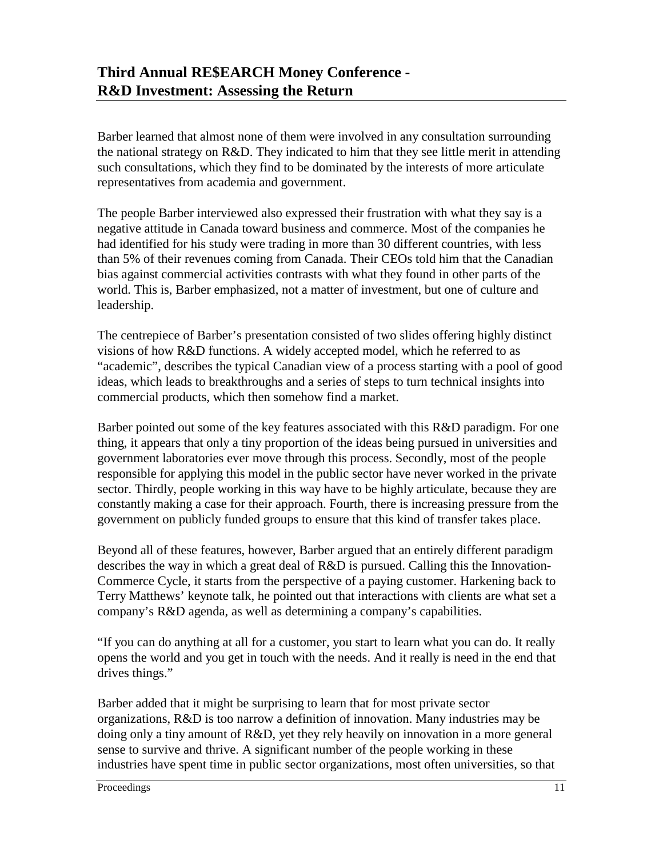Barber learned that almost none of them were involved in any consultation surrounding the national strategy on R&D. They indicated to him that they see little merit in attending such consultations, which they find to be dominated by the interests of more articulate representatives from academia and government.

The people Barber interviewed also expressed their frustration with what they say is a negative attitude in Canada toward business and commerce. Most of the companies he had identified for his study were trading in more than 30 different countries, with less than 5% of their revenues coming from Canada. Their CEOs told him that the Canadian bias against commercial activities contrasts with what they found in other parts of the world. This is, Barber emphasized, not a matter of investment, but one of culture and leadership.

The centrepiece of Barber's presentation consisted of two slides offering highly distinct visions of how R&D functions. A widely accepted model, which he referred to as "academic", describes the typical Canadian view of a process starting with a pool of good ideas, which leads to breakthroughs and a series of steps to turn technical insights into commercial products, which then somehow find a market.

Barber pointed out some of the key features associated with this R&D paradigm. For one thing, it appears that only a tiny proportion of the ideas being pursued in universities and government laboratories ever move through this process. Secondly, most of the people responsible for applying this model in the public sector have never worked in the private sector. Thirdly, people working in this way have to be highly articulate, because they are constantly making a case for their approach. Fourth, there is increasing pressure from the government on publicly funded groups to ensure that this kind of transfer takes place.

Beyond all of these features, however, Barber argued that an entirely different paradigm describes the way in which a great deal of R&D is pursued. Calling this the Innovation-Commerce Cycle, it starts from the perspective of a paying customer. Harkening back to Terry Matthews' keynote talk, he pointed out that interactions with clients are what set a company's R&D agenda, as well as determining a company's capabilities.

"If you can do anything at all for a customer, you start to learn what you can do. It really opens the world and you get in touch with the needs. And it really is need in the end that drives things."

Barber added that it might be surprising to learn that for most private sector organizations, R&D is too narrow a definition of innovation. Many industries may be doing only a tiny amount of R&D, yet they rely heavily on innovation in a more general sense to survive and thrive. A significant number of the people working in these industries have spent time in public sector organizations, most often universities, so that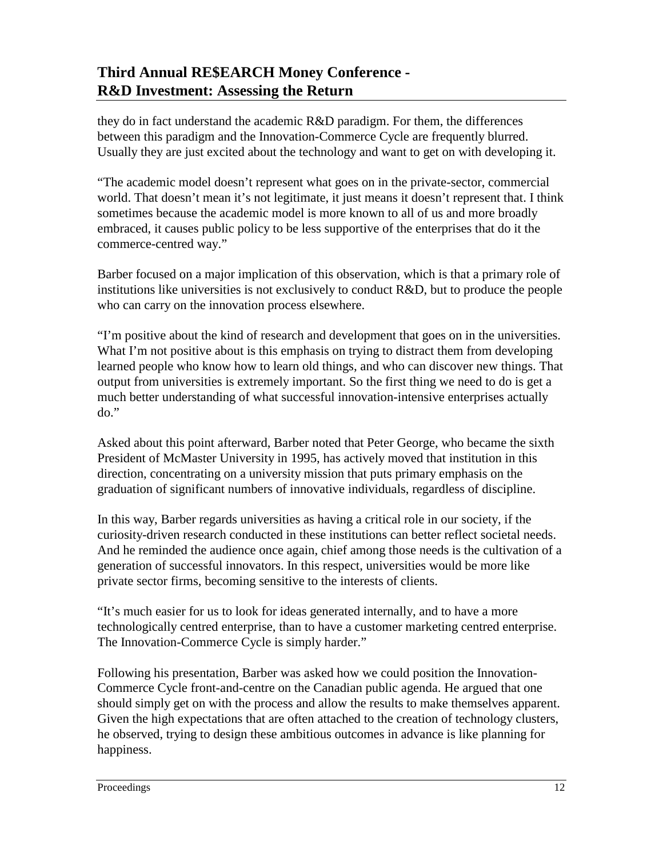they do in fact understand the academic R&D paradigm. For them, the differences between this paradigm and the Innovation-Commerce Cycle are frequently blurred. Usually they are just excited about the technology and want to get on with developing it.

"The academic model doesn't represent what goes on in the private-sector, commercial world. That doesn't mean it's not legitimate, it just means it doesn't represent that. I think sometimes because the academic model is more known to all of us and more broadly embraced, it causes public policy to be less supportive of the enterprises that do it the commerce-centred way."

Barber focused on a major implication of this observation, which is that a primary role of institutions like universities is not exclusively to conduct R&D, but to produce the people who can carry on the innovation process elsewhere.

"I'm positive about the kind of research and development that goes on in the universities. What I'm not positive about is this emphasis on trying to distract them from developing learned people who know how to learn old things, and who can discover new things. That output from universities is extremely important. So the first thing we need to do is get a much better understanding of what successful innovation-intensive enterprises actually  $do.$ 

Asked about this point afterward, Barber noted that Peter George, who became the sixth President of McMaster University in 1995, has actively moved that institution in this direction, concentrating on a university mission that puts primary emphasis on the graduation of significant numbers of innovative individuals, regardless of discipline.

In this way, Barber regards universities as having a critical role in our society, if the curiosity-driven research conducted in these institutions can better reflect societal needs. And he reminded the audience once again, chief among those needs is the cultivation of a generation of successful innovators. In this respect, universities would be more like private sector firms, becoming sensitive to the interests of clients.

"It's much easier for us to look for ideas generated internally, and to have a more technologically centred enterprise, than to have a customer marketing centred enterprise. The Innovation-Commerce Cycle is simply harder."

Following his presentation, Barber was asked how we could position the Innovation-Commerce Cycle front-and-centre on the Canadian public agenda. He argued that one should simply get on with the process and allow the results to make themselves apparent. Given the high expectations that are often attached to the creation of technology clusters, he observed, trying to design these ambitious outcomes in advance is like planning for happiness.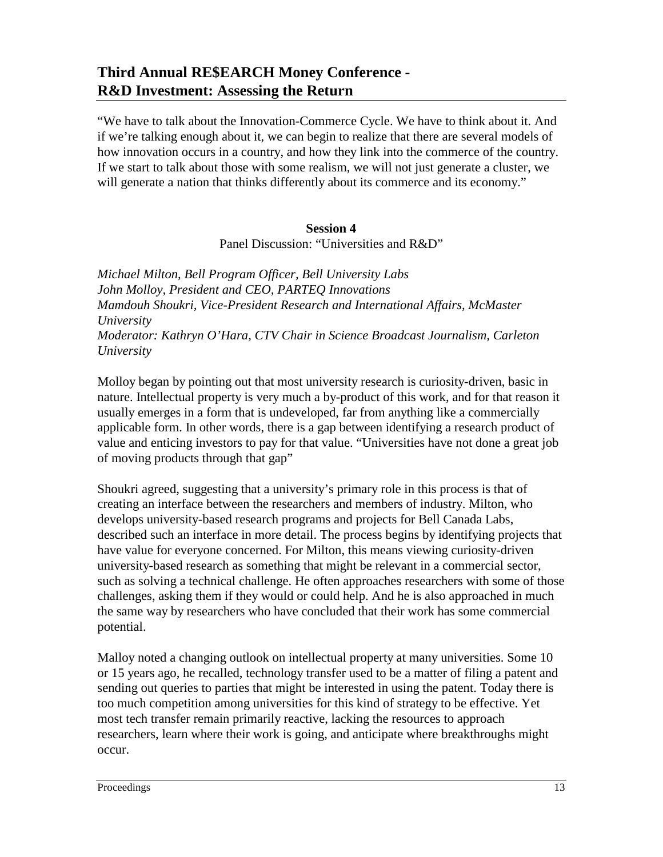"We have to talk about the Innovation-Commerce Cycle. We have to think about it. And if we're talking enough about it, we can begin to realize that there are several models of how innovation occurs in a country, and how they link into the commerce of the country. If we start to talk about those with some realism, we will not just generate a cluster, we will generate a nation that thinks differently about its commerce and its economy."

#### **Session 4**

Panel Discussion: "Universities and R&D"

*Michael Milton, Bell Program Officer, Bell University Labs John Molloy, President and CEO, PARTEQ Innovations Mamdouh Shoukri, Vice-President Research and International Affairs, McMaster University Moderator: Kathryn O'Hara, CTV Chair in Science Broadcast Journalism, Carleton University*

Molloy began by pointing out that most university research is curiosity-driven, basic in nature. Intellectual property is very much a by-product of this work, and for that reason it usually emerges in a form that is undeveloped, far from anything like a commercially applicable form. In other words, there is a gap between identifying a research product of value and enticing investors to pay for that value. "Universities have not done a great job of moving products through that gap"

Shoukri agreed, suggesting that a university's primary role in this process is that of creating an interface between the researchers and members of industry. Milton, who develops university-based research programs and projects for Bell Canada Labs, described such an interface in more detail. The process begins by identifying projects that have value for everyone concerned. For Milton, this means viewing curiosity-driven university-based research as something that might be relevant in a commercial sector, such as solving a technical challenge. He often approaches researchers with some of those challenges, asking them if they would or could help. And he is also approached in much the same way by researchers who have concluded that their work has some commercial potential.

Malloy noted a changing outlook on intellectual property at many universities. Some 10 or 15 years ago, he recalled, technology transfer used to be a matter of filing a patent and sending out queries to parties that might be interested in using the patent. Today there is too much competition among universities for this kind of strategy to be effective. Yet most tech transfer remain primarily reactive, lacking the resources to approach researchers, learn where their work is going, and anticipate where breakthroughs might occur.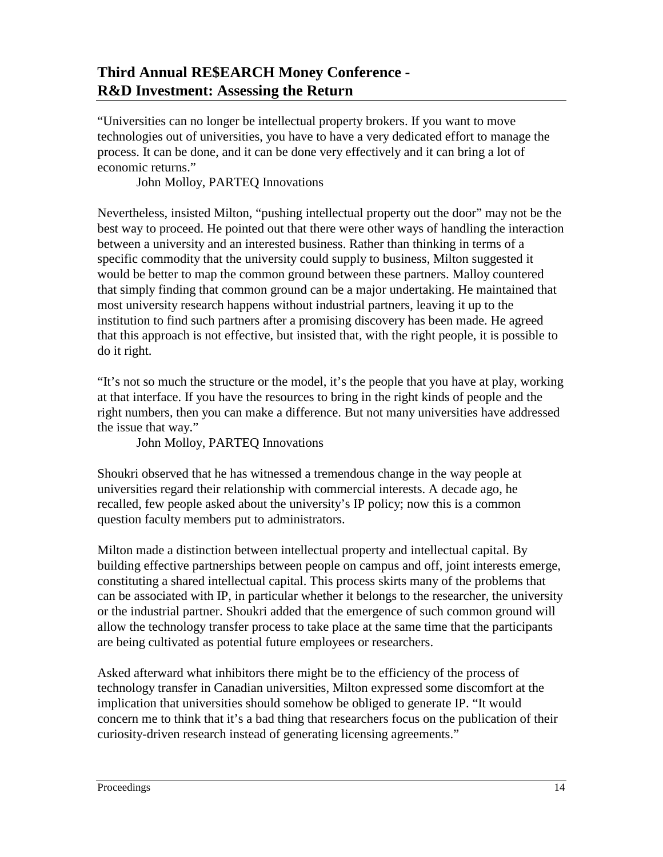"Universities can no longer be intellectual property brokers. If you want to move technologies out of universities, you have to have a very dedicated effort to manage the process. It can be done, and it can be done very effectively and it can bring a lot of economic returns."

John Molloy, PARTEQ Innovations

Nevertheless, insisted Milton, "pushing intellectual property out the door" may not be the best way to proceed. He pointed out that there were other ways of handling the interaction between a university and an interested business. Rather than thinking in terms of a specific commodity that the university could supply to business, Milton suggested it would be better to map the common ground between these partners. Malloy countered that simply finding that common ground can be a major undertaking. He maintained that most university research happens without industrial partners, leaving it up to the institution to find such partners after a promising discovery has been made. He agreed that this approach is not effective, but insisted that, with the right people, it is possible to do it right.

"It's not so much the structure or the model, it's the people that you have at play, working at that interface. If you have the resources to bring in the right kinds of people and the right numbers, then you can make a difference. But not many universities have addressed the issue that way."

John Molloy, PARTEQ Innovations

Shoukri observed that he has witnessed a tremendous change in the way people at universities regard their relationship with commercial interests. A decade ago, he recalled, few people asked about the university's IP policy; now this is a common question faculty members put to administrators.

Milton made a distinction between intellectual property and intellectual capital. By building effective partnerships between people on campus and off, joint interests emerge, constituting a shared intellectual capital. This process skirts many of the problems that can be associated with IP, in particular whether it belongs to the researcher, the university or the industrial partner. Shoukri added that the emergence of such common ground will allow the technology transfer process to take place at the same time that the participants are being cultivated as potential future employees or researchers.

Asked afterward what inhibitors there might be to the efficiency of the process of technology transfer in Canadian universities, Milton expressed some discomfort at the implication that universities should somehow be obliged to generate IP. "It would concern me to think that it's a bad thing that researchers focus on the publication of their curiosity-driven research instead of generating licensing agreements."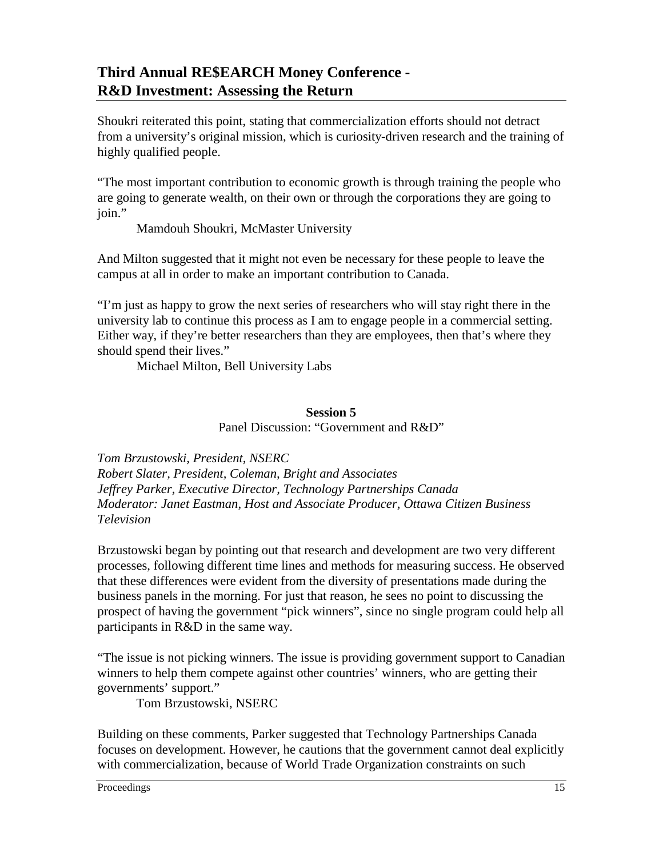Shoukri reiterated this point, stating that commercialization efforts should not detract from a university's original mission, which is curiosity-driven research and the training of highly qualified people.

"The most important contribution to economic growth is through training the people who are going to generate wealth, on their own or through the corporations they are going to join."

Mamdouh Shoukri, McMaster University

And Milton suggested that it might not even be necessary for these people to leave the campus at all in order to make an important contribution to Canada.

"I'm just as happy to grow the next series of researchers who will stay right there in the university lab to continue this process as I am to engage people in a commercial setting. Either way, if they're better researchers than they are employees, then that's where they should spend their lives."

Michael Milton, Bell University Labs

### **Session 5**

Panel Discussion: "Government and R&D"

*Tom Brzustowski, President, NSERC Robert Slater, President, Coleman, Bright and Associates Jeffrey Parker, Executive Director, Technology Partnerships Canada Moderator: Janet Eastman, Host and Associate Producer, Ottawa Citizen Business Television*

Brzustowski began by pointing out that research and development are two very different processes, following different time lines and methods for measuring success. He observed that these differences were evident from the diversity of presentations made during the business panels in the morning. For just that reason, he sees no point to discussing the prospect of having the government "pick winners", since no single program could help all participants in R&D in the same way.

"The issue is not picking winners. The issue is providing government support to Canadian winners to help them compete against other countries' winners, who are getting their governments' support."

Tom Brzustowski, NSERC

Building on these comments, Parker suggested that Technology Partnerships Canada focuses on development. However, he cautions that the government cannot deal explicitly with commercialization, because of World Trade Organization constraints on such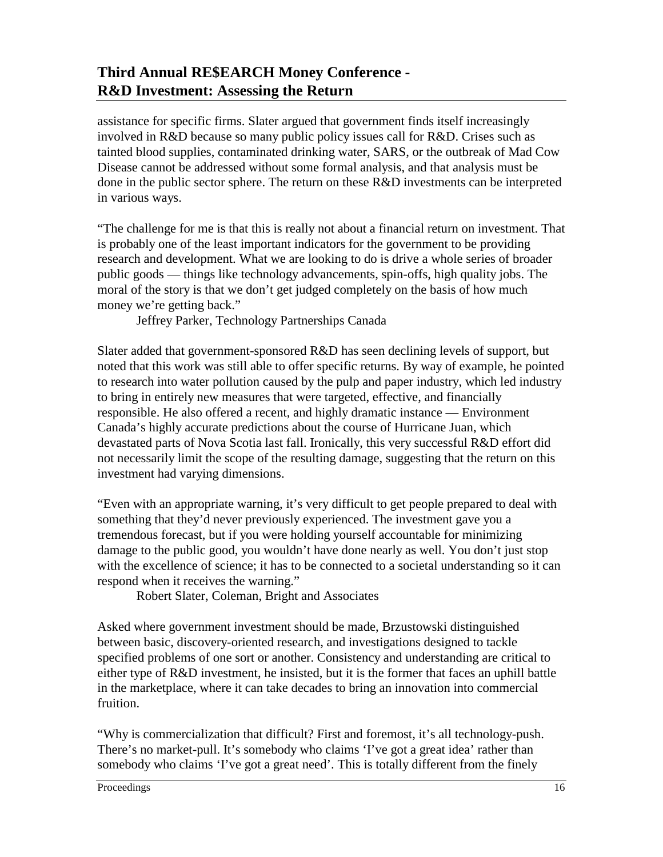assistance for specific firms. Slater argued that government finds itself increasingly involved in R&D because so many public policy issues call for R&D. Crises such as tainted blood supplies, contaminated drinking water, SARS, or the outbreak of Mad Cow Disease cannot be addressed without some formal analysis, and that analysis must be done in the public sector sphere. The return on these R&D investments can be interpreted in various ways.

"The challenge for me is that this is really not about a financial return on investment. That is probably one of the least important indicators for the government to be providing research and development. What we are looking to do is drive a whole series of broader public goods — things like technology advancements, spin-offs, high quality jobs. The moral of the story is that we don't get judged completely on the basis of how much money we're getting back."

Jeffrey Parker, Technology Partnerships Canada

Slater added that government-sponsored R&D has seen declining levels of support, but noted that this work was still able to offer specific returns. By way of example, he pointed to research into water pollution caused by the pulp and paper industry, which led industry to bring in entirely new measures that were targeted, effective, and financially responsible. He also offered a recent, and highly dramatic instance — Environment Canada's highly accurate predictions about the course of Hurricane Juan, which devastated parts of Nova Scotia last fall. Ironically, this very successful R&D effort did not necessarily limit the scope of the resulting damage, suggesting that the return on this investment had varying dimensions.

"Even with an appropriate warning, it's very difficult to get people prepared to deal with something that they'd never previously experienced. The investment gave you a tremendous forecast, but if you were holding yourself accountable for minimizing damage to the public good, you wouldn't have done nearly as well. You don't just stop with the excellence of science; it has to be connected to a societal understanding so it can respond when it receives the warning."

Robert Slater, Coleman, Bright and Associates

Asked where government investment should be made, Brzustowski distinguished between basic, discovery-oriented research, and investigations designed to tackle specified problems of one sort or another. Consistency and understanding are critical to either type of R&D investment, he insisted, but it is the former that faces an uphill battle in the marketplace, where it can take decades to bring an innovation into commercial fruition.

"Why is commercialization that difficult? First and foremost, it's all technology-push. There's no market-pull. It's somebody who claims 'I've got a great idea' rather than somebody who claims 'I've got a great need'. This is totally different from the finely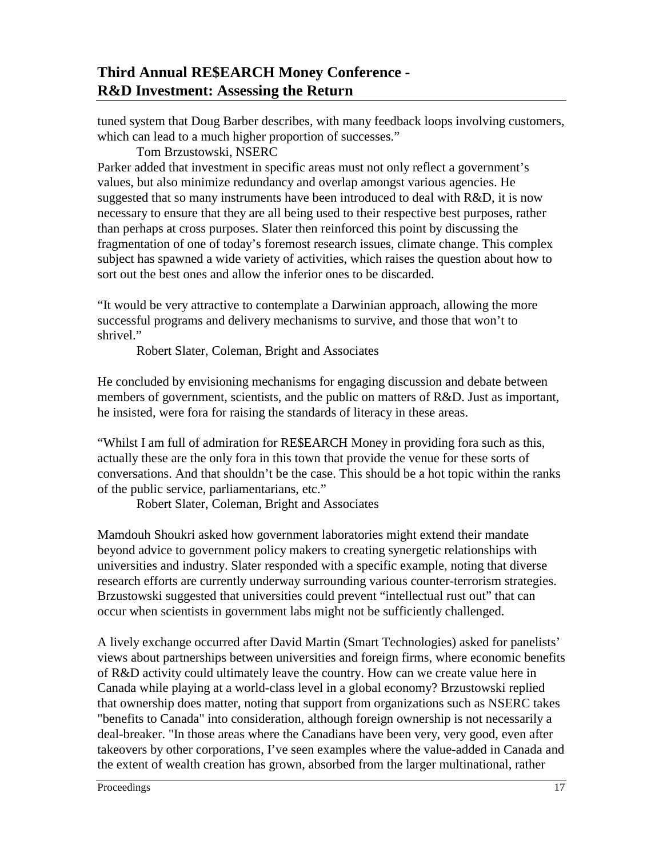tuned system that Doug Barber describes, with many feedback loops involving customers, which can lead to a much higher proportion of successes."

### Tom Brzustowski, NSERC

Parker added that investment in specific areas must not only reflect a government's values, but also minimize redundancy and overlap amongst various agencies. He suggested that so many instruments have been introduced to deal with R&D, it is now necessary to ensure that they are all being used to their respective best purposes, rather than perhaps at cross purposes. Slater then reinforced this point by discussing the fragmentation of one of today's foremost research issues, climate change. This complex subject has spawned a wide variety of activities, which raises the question about how to sort out the best ones and allow the inferior ones to be discarded.

"It would be very attractive to contemplate a Darwinian approach, allowing the more successful programs and delivery mechanisms to survive, and those that won't to shrivel."

Robert Slater, Coleman, Bright and Associates

He concluded by envisioning mechanisms for engaging discussion and debate between members of government, scientists, and the public on matters of R&D. Just as important, he insisted, were fora for raising the standards of literacy in these areas.

"Whilst I am full of admiration for RE\$EARCH Money in providing fora such as this, actually these are the only fora in this town that provide the venue for these sorts of conversations. And that shouldn't be the case. This should be a hot topic within the ranks of the public service, parliamentarians, etc."

Robert Slater, Coleman, Bright and Associates

Mamdouh Shoukri asked how government laboratories might extend their mandate beyond advice to government policy makers to creating synergetic relationships with universities and industry. Slater responded with a specific example, noting that diverse research efforts are currently underway surrounding various counter-terrorism strategies. Brzustowski suggested that universities could prevent "intellectual rust out" that can occur when scientists in government labs might not be sufficiently challenged.

A lively exchange occurred after David Martin (Smart Technologies) asked for panelists' views about partnerships between universities and foreign firms, where economic benefits of R&D activity could ultimately leave the country. How can we create value here in Canada while playing at a world-class level in a global economy? Brzustowski replied that ownership does matter, noting that support from organizations such as NSERC takes "benefits to Canada" into consideration, although foreign ownership is not necessarily a deal-breaker. "In those areas where the Canadians have been very, very good, even after takeovers by other corporations, I've seen examples where the value-added in Canada and the extent of wealth creation has grown, absorbed from the larger multinational, rather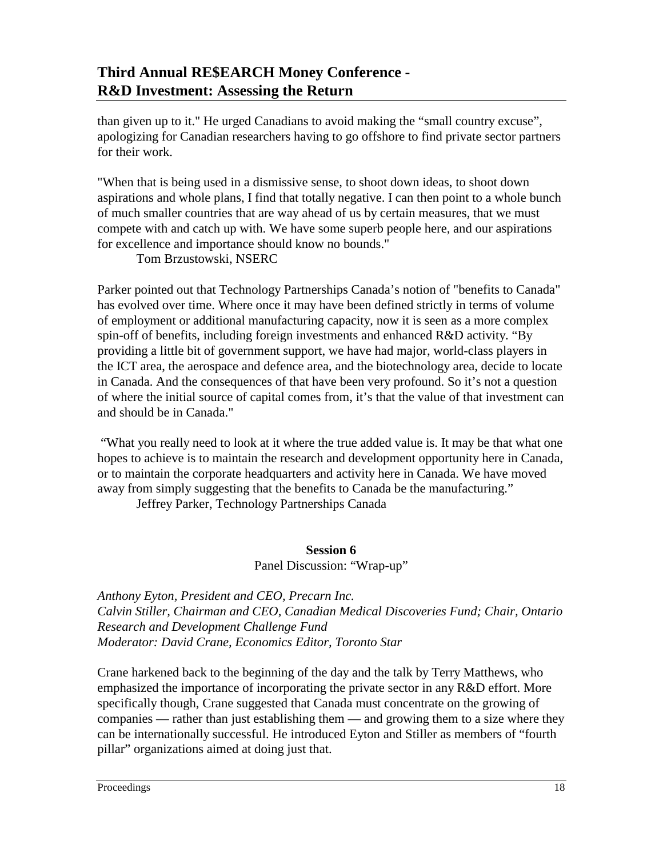than given up to it." He urged Canadians to avoid making the "small country excuse", apologizing for Canadian researchers having to go offshore to find private sector partners for their work.

"When that is being used in a dismissive sense, to shoot down ideas, to shoot down aspirations and whole plans, I find that totally negative. I can then point to a whole bunch of much smaller countries that are way ahead of us by certain measures, that we must compete with and catch up with. We have some superb people here, and our aspirations for excellence and importance should know no bounds."

Tom Brzustowski, NSERC

Parker pointed out that Technology Partnerships Canada's notion of "benefits to Canada" has evolved over time. Where once it may have been defined strictly in terms of volume of employment or additional manufacturing capacity, now it is seen as a more complex spin-off of benefits, including foreign investments and enhanced R&D activity. "By providing a little bit of government support, we have had major, world-class players in the ICT area, the aerospace and defence area, and the biotechnology area, decide to locate in Canada. And the consequences of that have been very profound. So it's not a question of where the initial source of capital comes from, it's that the value of that investment can and should be in Canada."

 "What you really need to look at it where the true added value is. It may be that what one hopes to achieve is to maintain the research and development opportunity here in Canada, or to maintain the corporate headquarters and activity here in Canada. We have moved away from simply suggesting that the benefits to Canada be the manufacturing."

Jeffrey Parker, Technology Partnerships Canada

#### **Session 6**

Panel Discussion: "Wrap-up"

*Anthony Eyton, President and CEO, Precarn Inc. Calvin Stiller, Chairman and CEO, Canadian Medical Discoveries Fund; Chair, Ontario Research and Development Challenge Fund Moderator: David Crane, Economics Editor, Toronto Star* 

Crane harkened back to the beginning of the day and the talk by Terry Matthews, who emphasized the importance of incorporating the private sector in any R&D effort. More specifically though, Crane suggested that Canada must concentrate on the growing of companies — rather than just establishing them — and growing them to a size where they can be internationally successful. He introduced Eyton and Stiller as members of "fourth pillar" organizations aimed at doing just that.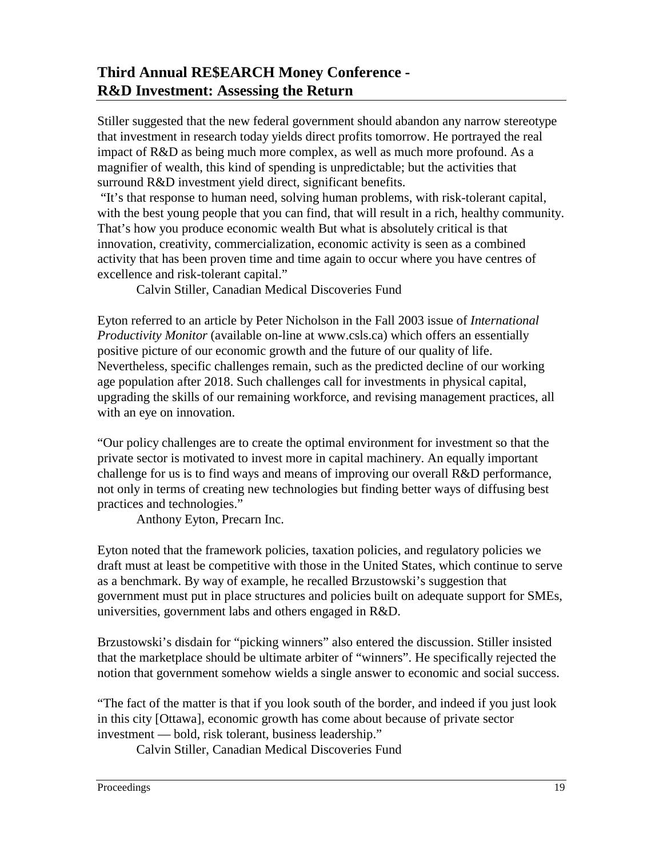Stiller suggested that the new federal government should abandon any narrow stereotype that investment in research today yields direct profits tomorrow. He portrayed the real impact of R&D as being much more complex, as well as much more profound. As a magnifier of wealth, this kind of spending is unpredictable; but the activities that surround R&D investment yield direct, significant benefits.

 "It's that response to human need, solving human problems, with risk-tolerant capital, with the best young people that you can find, that will result in a rich, healthy community. That's how you produce economic wealth But what is absolutely critical is that innovation, creativity, commercialization, economic activity is seen as a combined activity that has been proven time and time again to occur where you have centres of excellence and risk-tolerant capital."

Calvin Stiller, Canadian Medical Discoveries Fund

Eyton referred to an article by Peter Nicholson in the Fall 2003 issue of *International Productivity Monitor* (available on-line at www.csls.ca) which offers an essentially positive picture of our economic growth and the future of our quality of life. Nevertheless, specific challenges remain, such as the predicted decline of our working age population after 2018. Such challenges call for investments in physical capital, upgrading the skills of our remaining workforce, and revising management practices, all with an eye on innovation.

"Our policy challenges are to create the optimal environment for investment so that the private sector is motivated to invest more in capital machinery. An equally important challenge for us is to find ways and means of improving our overall R&D performance, not only in terms of creating new technologies but finding better ways of diffusing best practices and technologies."

Anthony Eyton, Precarn Inc.

Eyton noted that the framework policies, taxation policies, and regulatory policies we draft must at least be competitive with those in the United States, which continue to serve as a benchmark. By way of example, he recalled Brzustowski's suggestion that government must put in place structures and policies built on adequate support for SMEs, universities, government labs and others engaged in R&D.

Brzustowski's disdain for "picking winners" also entered the discussion. Stiller insisted that the marketplace should be ultimate arbiter of "winners". He specifically rejected the notion that government somehow wields a single answer to economic and social success.

"The fact of the matter is that if you look south of the border, and indeed if you just look in this city [Ottawa], economic growth has come about because of private sector investment — bold, risk tolerant, business leadership."

Calvin Stiller, Canadian Medical Discoveries Fund